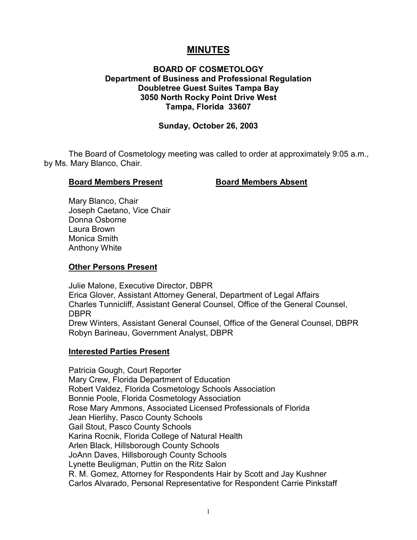# **MINUTES**

# **BOARD OF COSMETOLOGY Department of Business and Professional Regulation Doubletree Guest Suites Tampa Bay 3050 North Rocky Point Drive West Tampa, Florida 33607**

# **Sunday, October 26, 2003**

The Board of Cosmetology meeting was called to order at approximately 9:05 a.m., by Ms. Mary Blanco, Chair.

#### **Board Members Present Board Members Absent**

Mary Blanco, Chair Joseph Caetano, Vice Chair Donna Osborne Laura Brown Monica Smith Anthony White

#### **Other Persons Present**

Julie Malone, Executive Director, DBPR Erica Glover, Assistant Attorney General, Department of Legal Affairs Charles Tunnicliff, Assistant General Counsel, Office of the General Counsel, DBPR Drew Winters, Assistant General Counsel, Office of the General Counsel, DBPR Robyn Barineau, Government Analyst, DBPR

#### **Interested Parties Present**

Patricia Gough, Court Reporter Mary Crew, Florida Department of Education Robert Valdez, Florida Cosmetology Schools Association Bonnie Poole, Florida Cosmetology Association Rose Mary Ammons, Associated Licensed Professionals of Florida Jean Hierlihy, Pasco County Schools Gail Stout, Pasco County Schools Karina Rocnik, Florida College of Natural Health Arlen Black, Hillsborough County Schools JoAnn Daves, Hillsborough County Schools Lynette Beuligman, Puttin on the Ritz Salon R. M. Gomez, Attorney for Respondents Hair by Scott and Jay Kushner Carlos Alvarado, Personal Representative for Respondent Carrie Pinkstaff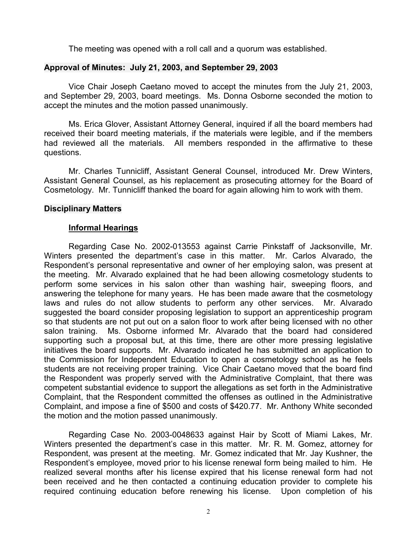The meeting was opened with a roll call and a quorum was established.

# **Approval of Minutes: July 21, 2003, and September 29, 2003**

Vice Chair Joseph Caetano moved to accept the minutes from the July 21, 2003, and September 29, 2003, board meetings. Ms. Donna Osborne seconded the motion to accept the minutes and the motion passed unanimously.

Ms. Erica Glover, Assistant Attorney General, inquired if all the board members had received their board meeting materials, if the materials were legible, and if the members had reviewed all the materials. All members responded in the affirmative to these questions.

Mr. Charles Tunnicliff, Assistant General Counsel, introduced Mr. Drew Winters, Assistant General Counsel, as his replacement as prosecuting attorney for the Board of Cosmetology. Mr. Tunnicliff thanked the board for again allowing him to work with them.

#### **Disciplinary Matters**

# **Informal Hearings**

Regarding Case No. 2002-013553 against Carrie Pinkstaff of Jacksonville, Mr. Winters presented the department's case in this matter. Mr. Carlos Alvarado, the Respondent's personal representative and owner of her employing salon, was present at the meeting. Mr. Alvarado explained that he had been allowing cosmetology students to perform some services in his salon other than washing hair, sweeping floors, and answering the telephone for many years. He has been made aware that the cosmetology laws and rules do not allow students to perform any other services. Mr. Alvarado suggested the board consider proposing legislation to support an apprenticeship program so that students are not put out on a salon floor to work after being licensed with no other salon training. Ms. Osborne informed Mr. Alvarado that the board had considered supporting such a proposal but, at this time, there are other more pressing legislative initiatives the board supports. Mr. Alvarado indicated he has submitted an application to the Commission for Independent Education to open a cosmetology school as he feels students are not receiving proper training. Vice Chair Caetano moved that the board find the Respondent was properly served with the Administrative Complaint, that there was competent substantial evidence to support the allegations as set forth in the Administrative Complaint, that the Respondent committed the offenses as outlined in the Administrative Complaint, and impose a fine of \$500 and costs of \$420.77. Mr. Anthony White seconded the motion and the motion passed unanimously.

Regarding Case No. 2003-0048633 against Hair by Scott of Miami Lakes, Mr. Winters presented the department's case in this matter. Mr. R. M. Gomez, attorney for Respondent, was present at the meeting. Mr. Gomez indicated that Mr. Jay Kushner, the Respondent's employee, moved prior to his license renewal form being mailed to him. He realized several months after his license expired that his license renewal form had not been received and he then contacted a continuing education provider to complete his required continuing education before renewing his license. Upon completion of his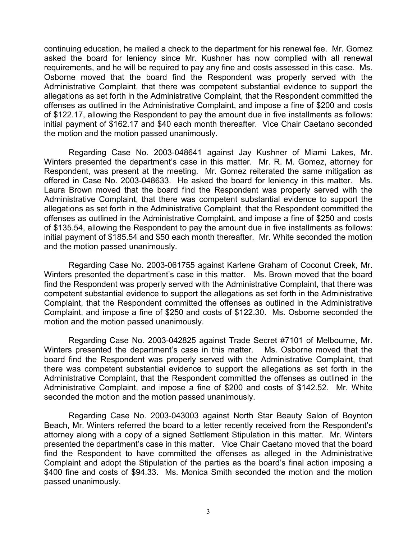continuing education, he mailed a check to the department for his renewal fee. Mr. Gomez asked the board for leniency since Mr. Kushner has now complied with all renewal requirements, and he will be required to pay any fine and costs assessed in this case. Ms. Osborne moved that the board find the Respondent was properly served with the Administrative Complaint, that there was competent substantial evidence to support the allegations as set forth in the Administrative Complaint, that the Respondent committed the offenses as outlined in the Administrative Complaint, and impose a fine of \$200 and costs of \$122.17, allowing the Respondent to pay the amount due in five installments as follows: initial payment of \$162.17 and \$40 each month thereafter. Vice Chair Caetano seconded the motion and the motion passed unanimously.

Regarding Case No. 2003-048641 against Jay Kushner of Miami Lakes, Mr. Winters presented the department's case in this matter. Mr. R. M. Gomez, attorney for Respondent, was present at the meeting. Mr. Gomez reiterated the same mitigation as offered in Case No. 2003-048633. He asked the board for leniency in this matter. Ms. Laura Brown moved that the board find the Respondent was properly served with the Administrative Complaint, that there was competent substantial evidence to support the allegations as set forth in the Administrative Complaint, that the Respondent committed the offenses as outlined in the Administrative Complaint, and impose a fine of \$250 and costs of \$135.54, allowing the Respondent to pay the amount due in five installments as follows: initial payment of \$185.54 and \$50 each month thereafter. Mr. White seconded the motion and the motion passed unanimously.

Regarding Case No. 2003-061755 against Karlene Graham of Coconut Creek, Mr. Winters presented the department's case in this matter. Ms. Brown moved that the board find the Respondent was properly served with the Administrative Complaint, that there was competent substantial evidence to support the allegations as set forth in the Administrative Complaint, that the Respondent committed the offenses as outlined in the Administrative Complaint, and impose a fine of \$250 and costs of \$122.30. Ms. Osborne seconded the motion and the motion passed unanimously.

Regarding Case No. 2003-042825 against Trade Secret #7101 of Melbourne, Mr. Winters presented the department's case in this matter. Ms. Osborne moved that the board find the Respondent was properly served with the Administrative Complaint, that there was competent substantial evidence to support the allegations as set forth in the Administrative Complaint, that the Respondent committed the offenses as outlined in the Administrative Complaint, and impose a fine of \$200 and costs of \$142.52. Mr. White seconded the motion and the motion passed unanimously.

Regarding Case No. 2003-043003 against North Star Beauty Salon of Boynton Beach, Mr. Winters referred the board to a letter recently received from the Respondent's attorney along with a copy of a signed Settlement Stipulation in this matter. Mr. Winters presented the department's case in this matter. Vice Chair Caetano moved that the board find the Respondent to have committed the offenses as alleged in the Administrative Complaint and adopt the Stipulation of the parties as the board's final action imposing a \$400 fine and costs of \$94.33. Ms. Monica Smith seconded the motion and the motion passed unanimously.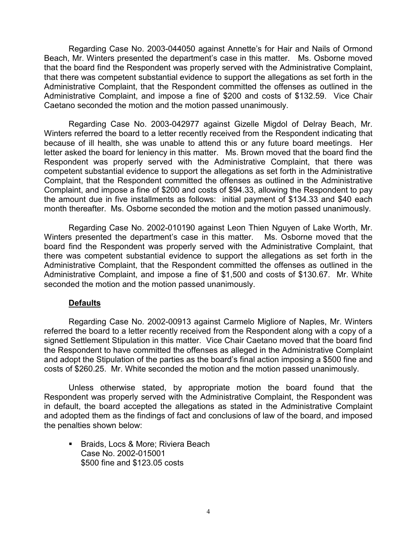Regarding Case No. 2003-044050 against Annette's for Hair and Nails of Ormond Beach, Mr. Winters presented the department's case in this matter. Ms. Osborne moved that the board find the Respondent was properly served with the Administrative Complaint, that there was competent substantial evidence to support the allegations as set forth in the Administrative Complaint, that the Respondent committed the offenses as outlined in the Administrative Complaint, and impose a fine of \$200 and costs of \$132.59. Vice Chair Caetano seconded the motion and the motion passed unanimously.

Regarding Case No. 2003-042977 against Gizelle Migdol of Delray Beach, Mr. Winters referred the board to a letter recently received from the Respondent indicating that because of ill health, she was unable to attend this or any future board meetings. Her letter asked the board for leniency in this matter. Ms. Brown moved that the board find the Respondent was properly served with the Administrative Complaint, that there was competent substantial evidence to support the allegations as set forth in the Administrative Complaint, that the Respondent committed the offenses as outlined in the Administrative Complaint, and impose a fine of \$200 and costs of \$94.33, allowing the Respondent to pay the amount due in five installments as follows: initial payment of \$134.33 and \$40 each month thereafter. Ms. Osborne seconded the motion and the motion passed unanimously.

Regarding Case No. 2002-010190 against Leon Thien Nguyen of Lake Worth, Mr. Winters presented the department's case in this matter. Ms. Osborne moved that the board find the Respondent was properly served with the Administrative Complaint, that there was competent substantial evidence to support the allegations as set forth in the Administrative Complaint, that the Respondent committed the offenses as outlined in the Administrative Complaint, and impose a fine of \$1,500 and costs of \$130.67. Mr. White seconded the motion and the motion passed unanimously.

# **Defaults**

Regarding Case No. 2002-00913 against Carmelo Migliore of Naples, Mr. Winters referred the board to a letter recently received from the Respondent along with a copy of a signed Settlement Stipulation in this matter. Vice Chair Caetano moved that the board find the Respondent to have committed the offenses as alleged in the Administrative Complaint and adopt the Stipulation of the parties as the board's final action imposing a \$500 fine and costs of \$260.25. Mr. White seconded the motion and the motion passed unanimously.

Unless otherwise stated, by appropriate motion the board found that the Respondent was properly served with the Administrative Complaint, the Respondent was in default, the board accepted the allegations as stated in the Administrative Complaint and adopted them as the findings of fact and conclusions of law of the board, and imposed the penalties shown below:

**Braids, Locs & More; Riviera Beach** Case No. 2002-015001 \$500 fine and \$123.05 costs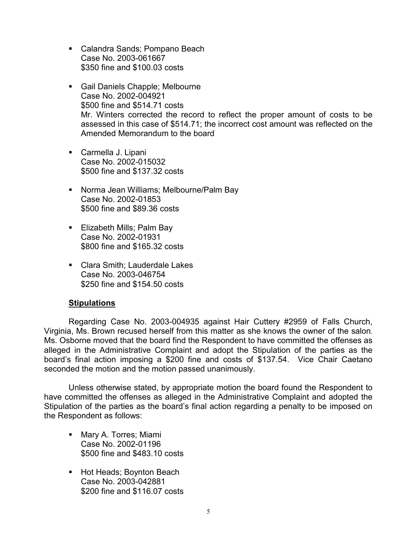- Calandra Sands; Pompano Beach Case No. 2003-061667 \$350 fine and \$100.03 costs
- Gail Daniels Chapple; Melbourne Case No. 2002-004921 \$500 fine and \$514.71 costs Mr. Winters corrected the record to reflect the proper amount of costs to be assessed in this case of \$514.71; the incorrect cost amount was reflected on the Amended Memorandum to the board
- Carmella J. Lipani Case No. 2002-015032 \$500 fine and \$137.32 costs
- **Norma Jean Williams; Melbourne/Palm Bay** Case No. 2002-01853 \$500 fine and \$89.36 costs
- Elizabeth Mills; Palm Bay Case No. 2002-01931 \$800 fine and \$165.32 costs
- Clara Smith: Lauderdale Lakes Case No. 2003-046754 \$250 fine and \$154.50 costs

# **Stipulations**

Regarding Case No. 2003-004935 against Hair Cuttery #2959 of Falls Church, Virginia, Ms. Brown recused herself from this matter as she knows the owner of the salon. Ms. Osborne moved that the board find the Respondent to have committed the offenses as alleged in the Administrative Complaint and adopt the Stipulation of the parties as the board's final action imposing a \$200 fine and costs of \$137.54. Vice Chair Caetano seconded the motion and the motion passed unanimously.

Unless otherwise stated, by appropriate motion the board found the Respondent to have committed the offenses as alleged in the Administrative Complaint and adopted the Stipulation of the parties as the board's final action regarding a penalty to be imposed on the Respondent as follows:

- Mary A. Torres; Miami Case No. 2002-01196 \$500 fine and \$483.10 costs
- Hot Heads; Boynton Beach Case No. 2003-042881 \$200 fine and \$116.07 costs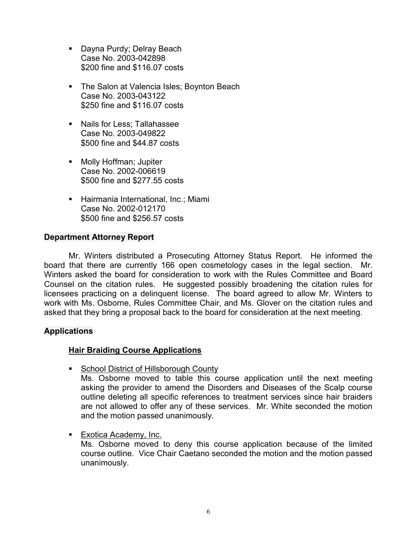- **Dayna Purdy; Delray Beach** Case No. 2003-042898 \$200 fine and \$116.07 costs
- **The Salon at Valencia Isles; Boynton Beach** Case No. 2003-043122 \$250 fine and \$116.07 costs
- Nails for Less; Tallahassee Case No. 2003-049822 \$500 fine and \$44.87 costs
- Molly Hoffman: Jupiter Case No. 2002-006619 \$500 fine and \$277.55 costs
- **Hairmania International, Inc.; Miami** Case No. 2002-012170 \$500 fine and \$256.57 costs

# **Department Attorney Report**

Mr. Winters distributed a Prosecuting Attorney Status Report. He informed the board that there are currently 166 open cosmetology cases in the legal section. Mr. Winters asked the board for consideration to work with the Rules Committee and Board Counsel on the citation rules. He suggested possibly broadening the citation rules for licensees practicing on a delinquent license. The board agreed to allow Mr. Winters to work with Ms. Osborne, Rules Committee Chair, and Ms. Glover on the citation rules and asked that they bring a proposal back to the board for consideration at the next meeting.

# **Applications**

# **Hair Braiding Course Applications**

■ School District of Hillsborough County

Ms. Osborne moved to table this course application until the next meeting asking the provider to amend the Disorders and Diseases of the Scalp course outline deleting all specific references to treatment services since hair braiders are not allowed to offer any of these services. Mr. White seconded the motion and the motion passed unanimously.

**Exotica Academy, Inc.** 

Ms. Osborne moved to deny this course application because of the limited course outline. Vice Chair Caetano seconded the motion and the motion passed unanimously.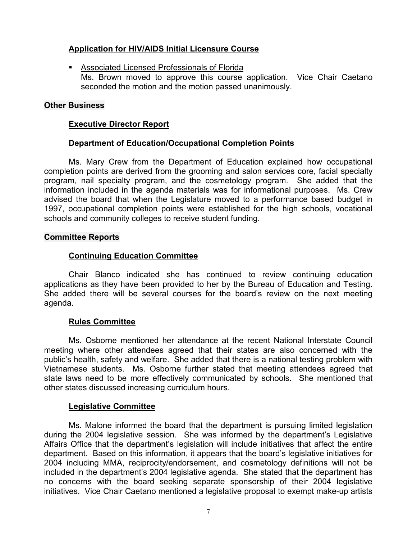# **Application for HIV/AIDS Initial Licensure Course**

 Associated Licensed Professionals of Florida Ms. Brown moved to approve this course application. Vice Chair Caetano seconded the motion and the motion passed unanimously.

# **Other Business**

# **Executive Director Report**

# **Department of Education/Occupational Completion Points**

Ms. Mary Crew from the Department of Education explained how occupational completion points are derived from the grooming and salon services core, facial specialty program, nail specialty program, and the cosmetology program. She added that the information included in the agenda materials was for informational purposes. Ms. Crew advised the board that when the Legislature moved to a performance based budget in 1997, occupational completion points were established for the high schools, vocational schools and community colleges to receive student funding.

#### **Committee Reports**

# **Continuing Education Committee**

Chair Blanco indicated she has continued to review continuing education applications as they have been provided to her by the Bureau of Education and Testing. She added there will be several courses for the board's review on the next meeting agenda.

#### **Rules Committee**

Ms. Osborne mentioned her attendance at the recent National Interstate Council meeting where other attendees agreed that their states are also concerned with the public's health, safety and welfare. She added that there is a national testing problem with Vietnamese students. Ms. Osborne further stated that meeting attendees agreed that state laws need to be more effectively communicated by schools. She mentioned that other states discussed increasing curriculum hours.

#### **Legislative Committee**

Ms. Malone informed the board that the department is pursuing limited legislation during the 2004 legislative session. She was informed by the department's Legislative Affairs Office that the department's legislation will include initiatives that affect the entire department. Based on this information, it appears that the board's legislative initiatives for 2004 including MMA, reciprocity/endorsement, and cosmetology definitions will not be included in the department's 2004 legislative agenda. She stated that the department has no concerns with the board seeking separate sponsorship of their 2004 legislative initiatives. Vice Chair Caetano mentioned a legislative proposal to exempt make-up artists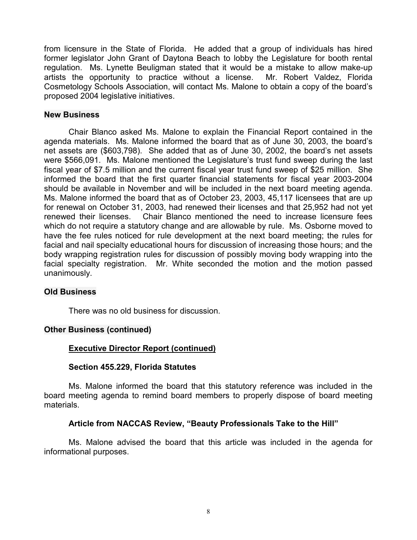from licensure in the State of Florida. He added that a group of individuals has hired former legislator John Grant of Daytona Beach to lobby the Legislature for booth rental regulation. Ms. Lynette Beuligman stated that it would be a mistake to allow make-up artists the opportunity to practice without a license. Mr. Robert Valdez, Florida Cosmetology Schools Association, will contact Ms. Malone to obtain a copy of the board's proposed 2004 legislative initiatives.

### **New Business**

Chair Blanco asked Ms. Malone to explain the Financial Report contained in the agenda materials. Ms. Malone informed the board that as of June 30, 2003, the board's net assets are (\$603,798). She added that as of June 30, 2002, the board's net assets were \$566,091. Ms. Malone mentioned the Legislature's trust fund sweep during the last fiscal year of \$7.5 million and the current fiscal year trust fund sweep of \$25 million. She informed the board that the first quarter financial statements for fiscal year 2003-2004 should be available in November and will be included in the next board meeting agenda. Ms. Malone informed the board that as of October 23, 2003, 45,117 licensees that are up for renewal on October 31, 2003, had renewed their licenses and that 25,952 had not yet renewed their licenses. Chair Blanco mentioned the need to increase licensure fees which do not require a statutory change and are allowable by rule. Ms. Osborne moved to have the fee rules noticed for rule development at the next board meeting; the rules for facial and nail specialty educational hours for discussion of increasing those hours; and the body wrapping registration rules for discussion of possibly moving body wrapping into the facial specialty registration. Mr. White seconded the motion and the motion passed unanimously.

# **Old Business**

There was no old business for discussion.

# **Other Business (continued)**

# **Executive Director Report (continued)**

#### **Section 455.229, Florida Statutes**

Ms. Malone informed the board that this statutory reference was included in the board meeting agenda to remind board members to properly dispose of board meeting materials.

# **Article from NACCAS Review, "Beauty Professionals Take to the Hill"**

Ms. Malone advised the board that this article was included in the agenda for informational purposes.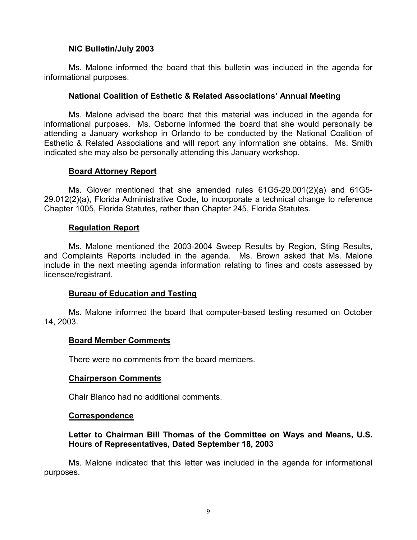# **NIC Bulletin/July 2003**

Ms. Malone informed the board that this bulletin was included in the agenda for informational purposes.

# **National Coalition of Esthetic & Related Associations' Annual Meeting**

Ms. Malone advised the board that this material was included in the agenda for informational purposes. Ms. Osborne informed the board that she would personally be attending a January workshop in Orlando to be conducted by the National Coalition of Esthetic & Related Associations and will report any information she obtains. Ms. Smith indicated she may also be personally attending this January workshop.

# **Board Attorney Report**

Ms. Glover mentioned that she amended rules 61G5-29.001(2)(a) and 61G5- 29.012(2)(a), Florida Administrative Code, to incorporate a technical change to reference Chapter 1005, Florida Statutes, rather than Chapter 245, Florida Statutes.

# **Regulation Report**

Ms. Malone mentioned the 2003-2004 Sweep Results by Region, Sting Results, and Complaints Reports included in the agenda. Ms. Brown asked that Ms. Malone include in the next meeting agenda information relating to fines and costs assessed by licensee/registrant.

# **Bureau of Education and Testing**

Ms. Malone informed the board that computer-based testing resumed on October 14, 2003.

#### **Board Member Comments**

There were no comments from the board members.

#### **Chairperson Comments**

Chair Blanco had no additional comments.

#### **Correspondence**

# **Letter to Chairman Bill Thomas of the Committee on Ways and Means, U.S. Hours of Representatives, Dated September 18, 2003**

Ms. Malone indicated that this letter was included in the agenda for informational purposes.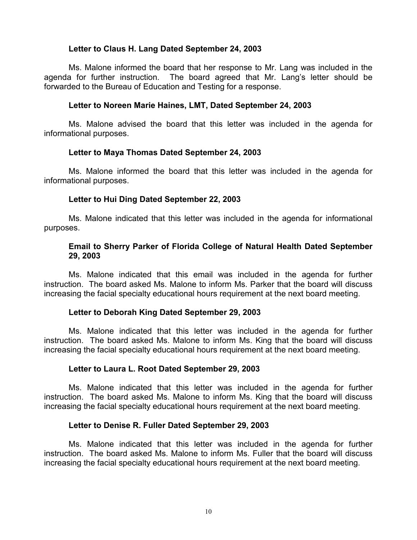# **Letter to Claus H. Lang Dated September 24, 2003**

Ms. Malone informed the board that her response to Mr. Lang was included in the agenda for further instruction. The board agreed that Mr. Lang's letter should be forwarded to the Bureau of Education and Testing for a response.

# **Letter to Noreen Marie Haines, LMT, Dated September 24, 2003**

Ms. Malone advised the board that this letter was included in the agenda for informational purposes.

# **Letter to Maya Thomas Dated September 24, 2003**

Ms. Malone informed the board that this letter was included in the agenda for informational purposes.

# **Letter to Hui Ding Dated September 22, 2003**

Ms. Malone indicated that this letter was included in the agenda for informational purposes.

# **Email to Sherry Parker of Florida College of Natural Health Dated September 29, 2003**

Ms. Malone indicated that this email was included in the agenda for further instruction. The board asked Ms. Malone to inform Ms. Parker that the board will discuss increasing the facial specialty educational hours requirement at the next board meeting.

# **Letter to Deborah King Dated September 29, 2003**

Ms. Malone indicated that this letter was included in the agenda for further instruction. The board asked Ms. Malone to inform Ms. King that the board will discuss increasing the facial specialty educational hours requirement at the next board meeting.

#### **Letter to Laura L. Root Dated September 29, 2003**

Ms. Malone indicated that this letter was included in the agenda for further instruction. The board asked Ms. Malone to inform Ms. King that the board will discuss increasing the facial specialty educational hours requirement at the next board meeting.

# **Letter to Denise R. Fuller Dated September 29, 2003**

Ms. Malone indicated that this letter was included in the agenda for further instruction. The board asked Ms. Malone to inform Ms. Fuller that the board will discuss increasing the facial specialty educational hours requirement at the next board meeting.